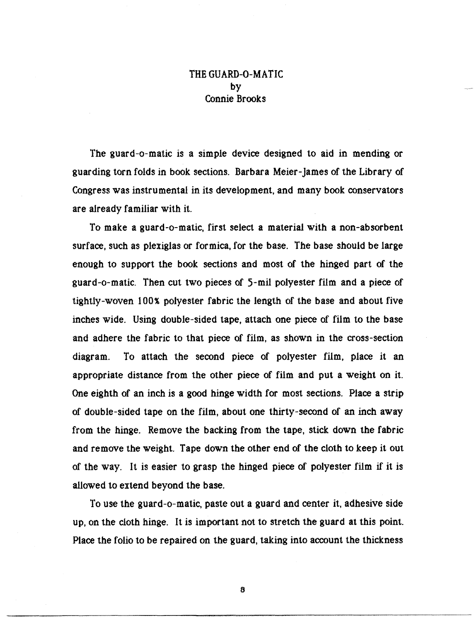## THE GUARD-0-MATIC by Connie Brooks

The guard-o-matic is a simple device designed to aid in mending or guarding torn folds in book sections. Barbara Meier-James of the Library of Congress was instrumental in its development, and many book conservators are already familiar with it.

To make a guard-o-matic, first select a material with a non-absorbent surface, such as plexiglas or formica, for the base. The base should be large enough to support the book sections and most of the hinged part of the guard-o-matic. Then cut two pieces of 5-mil polyester film and a piece of tightly-woven 100% polyester fabric the length of the base and about five inches wide. Using double-sided tape, attach one piece of film to the base and adhere the fabric to that piece of film, as shown in the cross-section diagram. To attach the second piece of polyester film, place it an appropriate distance from the other piece of film and put a weight on it. One eighth of an inch is a good hinge width for most sections. Place a strip of double-sided tape on the film, about one thirty-second of an inch away from the hinge. Remove the backing from the tape, stick down the fabric and remove the weight. Tape down the other end of the cloth to keep it out of the way. It is easier to grasp the hinged piece of polyester film if it is allowed to extend beyond the base.

To use the guard-o-matic, paste out a guard and center it, adhesive side up, on the cloth hinge. It is important not to stretch the guard at this point. Place the folio to be repaired on the guard, taking into account the thickness

6